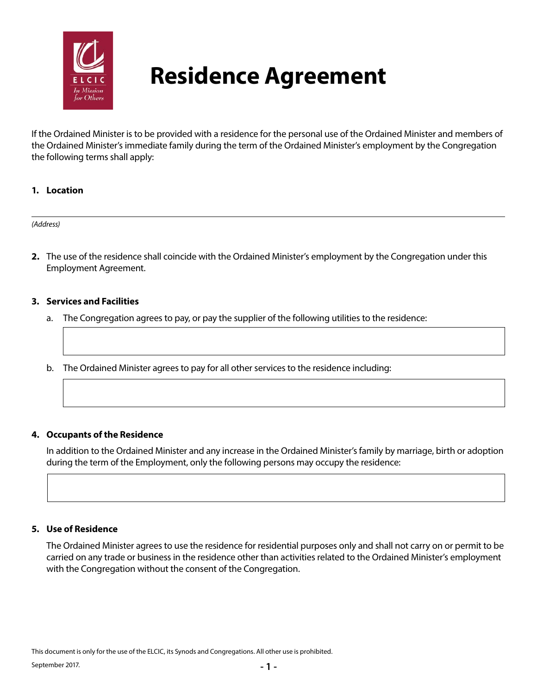

# **Residence Agreement**

If the Ordained Minister is to be provided with a residence for the personal use of the Ordained Minister and members of the Ordained Minister's immediate family during the term of the Ordained Minister's employment by the Congregation the following terms shall apply:

## **1. Location**

#### *(Address)*

**2.** The use of the residence shall coincide with the Ordained Minister's employment by the Congregation under this Employment Agreement.

## **3. Services and Facilities**

- a. The Congregation agrees to pay, or pay the supplier of the following utilities to the residence:
- b. The Ordained Minister agrees to pay for all other services to the residence including:

## **4. Occupants of the Residence**

In addition to the Ordained Minister and any increase in the Ordained Minister's family by marriage, birth or adoption during the term of the Employment, only the following persons may occupy the residence:

#### **5. Use of Residence**

The Ordained Minister agrees to use the residence for residential purposes only and shall not carry on or permit to be carried on any trade or business in the residence other than activities related to the Ordained Minister's employment with the Congregation without the consent of the Congregation.